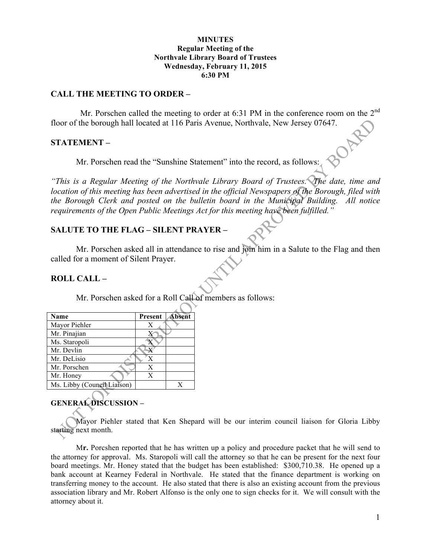#### **MINUTES Regular Meeting of the Northvale Library Board of Trustees Wednesday, February 11, 2015 6:30 PM**

#### **CALL THE MEETING TO ORDER –**

Mr. Porschen called the meeting to order at 6:31 PM in the conference room on the  $2^{nd}$ floor of the borough hall located at 116 Paris Avenue, Northvale, New Jersey 07647.

## **STATEMENT –**

Mr. Porschen read the "Sunshine Statement" into the record, as follows:

*"This is a Regular Meeting of the Northvale Library Board of Trustees. The date, time and location of this meeting has been advertised in the official Newspapers of the Borough, filed with the Borough Clerk and posted on the bulletin board in the Municipal Building. All notice requirements of the Open Public Meetings Act for this meeting have been fulfilled."* 

## **SALUTE TO THE FLAG – SILENT PRAYER –**

Mr. Porschen asked all in attendance to rise and join him in a Salute to the Flag and then called for a moment of Silent Prayer.

## **ROLL CALL –**

Mr. Porschen asked for a Roll Call of members as follows:

| Name                        | Present | <b>Absent</b> |
|-----------------------------|---------|---------------|
| Mayor Piehler               | Х       |               |
| Mr. Pinajian                |         |               |
| Ms. Staropoli               |         |               |
| Mr. Devlin                  |         |               |
| Mr. DeLisio                 | X       |               |
| Mr. Porschen                | X       |               |
| Mr. Honey                   | X       |               |
| Ms. Libby (Council Liaison) |         |               |

## **GENERAL DISCUSSION –**

Mayor Piehler stated that Ken Shepard will be our interim council liaison for Gloria Libby starting next month.

M**r.** Porcshen reported that he has written up a policy and procedure packet that he will send to the attorney for approval. Ms. Staropoli will call the attorney so that he can be present for the next four board meetings. Mr. Honey stated that the budget has been established: \$300,710.38. He opened up a bank account at Kearney Federal in Northvale. He stated that the finance department is working on transferring money to the account. He also stated that there is also an existing account from the previous association library and Mr. Robert Alfonso is the only one to sign checks for it. We will consult with the attorney about it.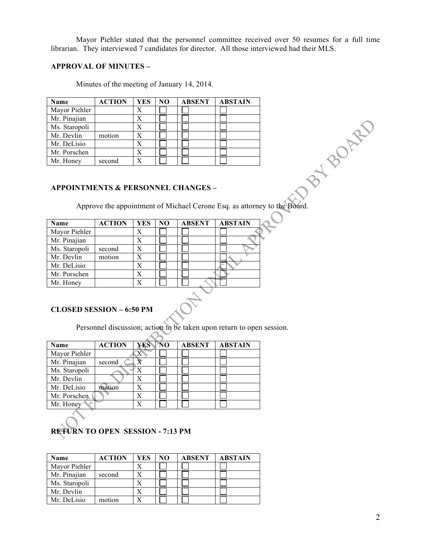Mayor Piehler stated that the personnel committee received over 50 resumes for a full time librarian. They interviewed 7 candidates for director. All those interviewed had their MLS.

#### **APPROVAL OF MINUTES –**

Minutes of the meeting of January 14, 2014.

| Name          | <b>ACTION</b> | <b>YES</b> | N <sub>O</sub> | <b>ABSENT</b> | <b>ABSTAIN</b> |
|---------------|---------------|------------|----------------|---------------|----------------|
| Mayor Piehler |               | X          |                |               |                |
| Mr. Pinajian  |               | X          |                |               |                |
| Ms. Staropoli |               | X          |                |               |                |
| Mr. Devlin    | motion        |            |                |               |                |
| Mr. DeLisio   |               |            |                |               |                |
| Mr. Porschen  |               |            |                |               |                |
| Mr. Honey     | second        |            |                |               |                |

#### **APPOINTMENTS & PERSONNEL CHANGES –**

Approve the appointment of Michael Cerone Esq. as attorney to the Board.

| Name          | <b>ACTION</b> | <b>YES</b> | N <sub>O</sub> | <b>ABSENT</b> | <b>ABSTAIN</b> |
|---------------|---------------|------------|----------------|---------------|----------------|
| Mayor Piehler |               | X          |                |               |                |
| Mr. Pinajian  |               | X          |                |               |                |
| Ms. Staropoli | second        | X          |                |               |                |
| Mr. Devlin    | motion        | X          |                |               |                |
| Mr. DeLisio   |               | X          |                |               |                |
| Mr. Porschen  |               | X          |                |               |                |
| Mr. Honey     |               | X          |                |               |                |

## **CLOSED SESSION – 6:50 PM**

Personnel discussion; action to be taken upon return to open session.

| Name          | <b>ACTION</b> | YES NO | <b>ABSENT</b> | <b>ABSTAIN</b> |
|---------------|---------------|--------|---------------|----------------|
| Mayor Piehler |               |        |               |                |
| Mr. Pinajian  | second        |        |               |                |
| Ms. Staropoli |               |        |               |                |
| Mr. Devlin    |               | X      |               |                |
| Mr. DeLisio   | motion        | X      |               |                |
| Mr. Porschen  |               | X      |               |                |
| Mr. Honey     |               | X      |               |                |

# **RETURN TO OPEN SESSION - 7:13 PM**

| Name          | <b>ACTION</b> | YES | NO | <b>ABSENT</b> | <b>ABSTAIN</b> |
|---------------|---------------|-----|----|---------------|----------------|
| Mayor Piehler |               |     |    |               |                |
| Mr. Pinajian  | second        |     |    |               |                |
| Ms. Staropoli |               |     |    |               |                |
| Mr. Devlin    |               |     |    |               |                |
| Mr. DeLisio   | motion        |     |    |               |                |

**PRY BOARD**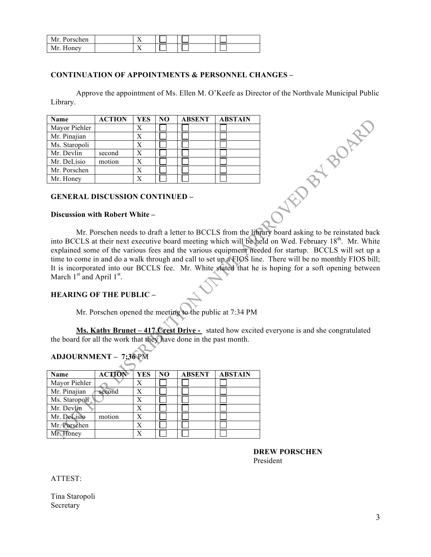| Mr. Porschen |    |  |  |
|--------------|----|--|--|
| Mr.<br>Honey | ∡⊾ |  |  |

## **CONTINUATION OF APPOINTMENTS & PERSONNEL CHANGES –**

Approve the appointment of Ms. Ellen M. O'Keefe as Director of the Northvale Municipal Public Library.

| Name          | <b>ACTION</b> | <b>YES</b> | NO. | <b>ABSENT</b> | <b>ABSTAIN</b> |
|---------------|---------------|------------|-----|---------------|----------------|
| Mayor Piehler |               |            |     |               |                |
| Mr. Pinajian  |               |            |     |               |                |
| Ms. Staropoli |               |            |     |               |                |
| Mr. Devlin    | second        |            |     |               |                |
| Mr. DeLisio   | motion        |            |     |               |                |
| Mr. Porschen  |               |            |     |               |                |
| Mr. Honey     |               |            |     |               |                |

#### **GENERAL DISCUSSION CONTINUED –**

#### **Discussion with Robert White –**

Mr. Porschen needs to draft a letter to BCCLS from the library board asking to be reinstated back into BCCLS at their next executive board meeting which will be held on Wed. February 18<sup>th</sup>. Mr. White explained some of the various fees and the various equipment needed for startup. BCCLS will set up a time to come in and do a walk through and call to set up a FIOS line. There will be no monthly FIOS bill; It is incorporated into our BCCLS fee. Mr. White stated that he is hoping for a soft opening between March  $1<sup>st</sup>$  and April  $1<sup>st</sup>$ .

### **HEARING OF THE PUBLIC –**

Mr. Porschen opened the meeting to the public at 7:34 PM

Ms. Kathy Brunet – 417 Crest Drive - stated how excited everyone is and she congratulated the board for all the work that they have done in the past month.

#### **ADJOURNMENT – 7:36** PM

| Name          | <b>ACTION</b> | <b>YES</b> | N <sub>O</sub> | <b>ABSENT</b> | <b>ABSTAIN</b> |
|---------------|---------------|------------|----------------|---------------|----------------|
| Mayor Piehler |               | X          |                |               |                |
| Mr. Pinajian  | second        | X          |                |               |                |
| Ms. Staropoli |               | X          |                |               |                |
| Mr. Devlin    |               | X          |                |               |                |
| Mr. DeLisio   | motion        | X          |                |               |                |
| Mr. Porschen  |               | X          |                |               |                |
| Mr. Honey     |               |            |                |               |                |

**DREW PORSCHEN** President

O WEB BY BOARD

ATTEST:

Tina Staropoli Secretary